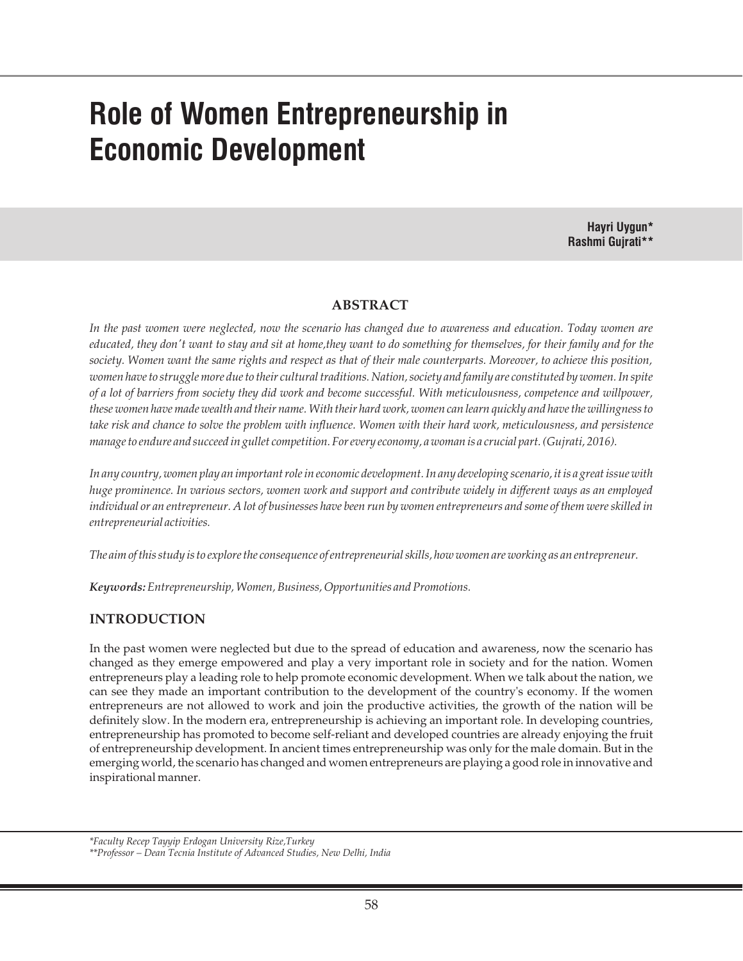# **Role of Women Entrepreneurship in Economic Development**

**Hayri Uygun\* Rashmi Gujrati\*\***

# **ABSTRACT**

*In the past women were neglected, now the scenario has changed due to awareness and education. Today women are educated, they don't want to stay and sit at home,they want to do something for themselves, for their family and for the society. Women want the same rights and respect as that of their male counterparts. Moreover, to achieve this position, women have to struggle more due to their cultural traditions. Nation, society and family are constituted by women. In spite of a lot of barriers from society they did work and become successful. With meticulousness, competence and willpower, these women have made wealth and their name. With their hard work, women can learn quickly and have the willingness to take risk and chance to solve the problem with influence. Women with their hard work, meticulousness, and persistence manage to endure and succeed in gullet competition. For every economy, a woman is a crucial part. (Gujrati, 2016).*

*In any country, women play an important role in economic development. In any developing scenario, it is a great issue with huge prominence. In various sectors, women work and support and contribute widely in different ways as an employed individual or an entrepreneur. A lot of businesses have been run by women entrepreneurs and some of them were skilled in entrepreneurial activities.* 

*The aim of this study is to explore the consequence of entrepreneurial skills, how women are working as an entrepreneur.*

*Keywords:Entrepreneurship, Women, Business, Opportunities and Promotions.*

# **INTRODUCTION**

In the past women were neglected but due to the spread of education and awareness, now the scenario has changed as they emerge empowered and play a very important role in society and for the nation. Women entrepreneurs play a leading role to help promote economic development. When we talk about the nation, we can see they made an important contribution to the development of the country's economy. If the women entrepreneurs are not allowed to work and join the productive activities, the growth of the nation will be definitely slow. In the modern era, entrepreneurship is achieving an important role. In developing countries, entrepreneurship has promoted to become self-reliant and developed countries are already enjoying the fruit of entrepreneurship development. In ancient times entrepreneurship was only for the male domain. But in the emerging world, the scenario has changed and women entrepreneurs are playing a good role in innovative and inspirational manner.

*<sup>\*</sup>Faculty Recep Tayyip Erdogan University Rize,Turkey*

*<sup>\*\*</sup>Professor – Dean Tecnia Institute of Advanced Studies, New Delhi, India*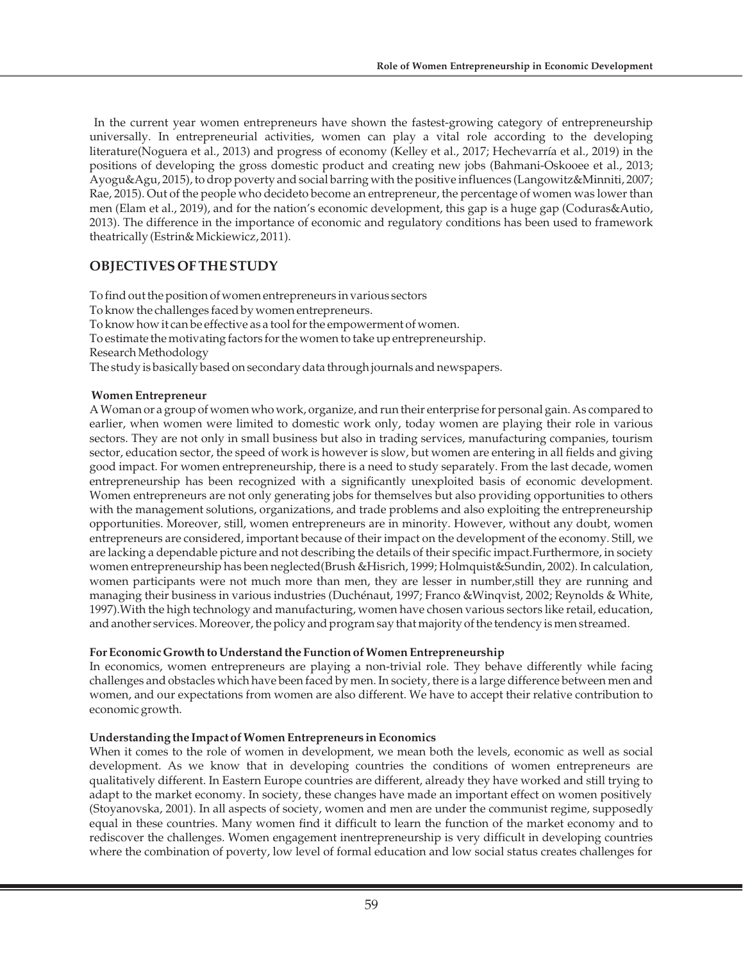In the current year women entrepreneurs have shown the fastest-growing category of entrepreneurship universally. In entrepreneurial activities, women can play a vital role according to the developing literature(Noguera et al., 2013) and progress of economy (Kelley et al., 2017; Hechevarría et al., 2019) in the positions of developing the gross domestic product and creating new jobs (Bahmani-Oskooee et al., 2013; Ayogu&Agu, 2015), to drop poverty and social barring with the positive influences (Langowitz&Minniti, 2007; Rae, 2015). Out of the people who decideto become an entrepreneur, the percentage of women was lower than men (Elam et al., 2019), and for the nation's economic development, this gap is a huge gap (Coduras&Autio, 2013). The difference in the importance of economic and regulatory conditions has been used to framework theatrically (Estrin& Mickiewicz, 2011).

# **OBJECTIVES OF THE STUDY**

To find out the position of women entrepreneurs in various sectors To know the challenges faced by women entrepreneurs. To know how it can be effective as a tool for the empowerment of women. To estimate the motivating factors for the women to take up entrepreneurship. Research Methodology The study is basically based on secondary data through journals and newspapers.

## **Women Entrepreneur**

A Woman or a group of women who work, organize, and run their enterprise for personal gain. As compared to earlier, when women were limited to domestic work only, today women are playing their role in various sectors. They are not only in small business but also in trading services, manufacturing companies, tourism sector, education sector, the speed of work is however is slow, but women are entering in all fields and giving good impact. For women entrepreneurship, there is a need to study separately. From the last decade, women entrepreneurship has been recognized with a significantly unexploited basis of economic development. Women entrepreneurs are not only generating jobs for themselves but also providing opportunities to others with the management solutions, organizations, and trade problems and also exploiting the entrepreneurship opportunities. Moreover, still, women entrepreneurs are in minority. However, without any doubt, women entrepreneurs are considered, important because of their impact on the development of the economy. Still, we are lacking a dependable picture and not describing the details of their specific impact.Furthermore, in society women entrepreneurship has been neglected(Brush &Hisrich, 1999; Holmquist&Sundin, 2002). In calculation, women participants were not much more than men, they are lesser in number,still they are running and managing their business in various industries (Duchénaut, 1997; Franco &Winqvist, 2002; Reynolds & White, 1997).With the high technology and manufacturing, women have chosen various sectors like retail, education, and another services. Moreover, the policy and program say that majority of the tendency is men streamed.

# **For Economic Growth to Understand the Function of Women Entrepreneurship**

In economics, women entrepreneurs are playing a non-trivial role. They behave differently while facing challenges and obstacles which have been faced by men. In society, there is a large difference between men and women, and our expectations from women are also different. We have to accept their relative contribution to economic growth.

# **Understanding the Impact of Women Entrepreneurs in Economics**

When it comes to the role of women in development, we mean both the levels, economic as well as social development. As we know that in developing countries the conditions of women entrepreneurs are qualitatively different. In Eastern Europe countries are different, already they have worked and still trying to adapt to the market economy. In society, these changes have made an important effect on women positively (Stoyanovska, 2001). In all aspects of society, women and men are under the communist regime, supposedly equal in these countries. Many women find it difficult to learn the function of the market economy and to rediscover the challenges. Women engagement inentrepreneurship is very difficult in developing countries where the combination of poverty, low level of formal education and low social status creates challenges for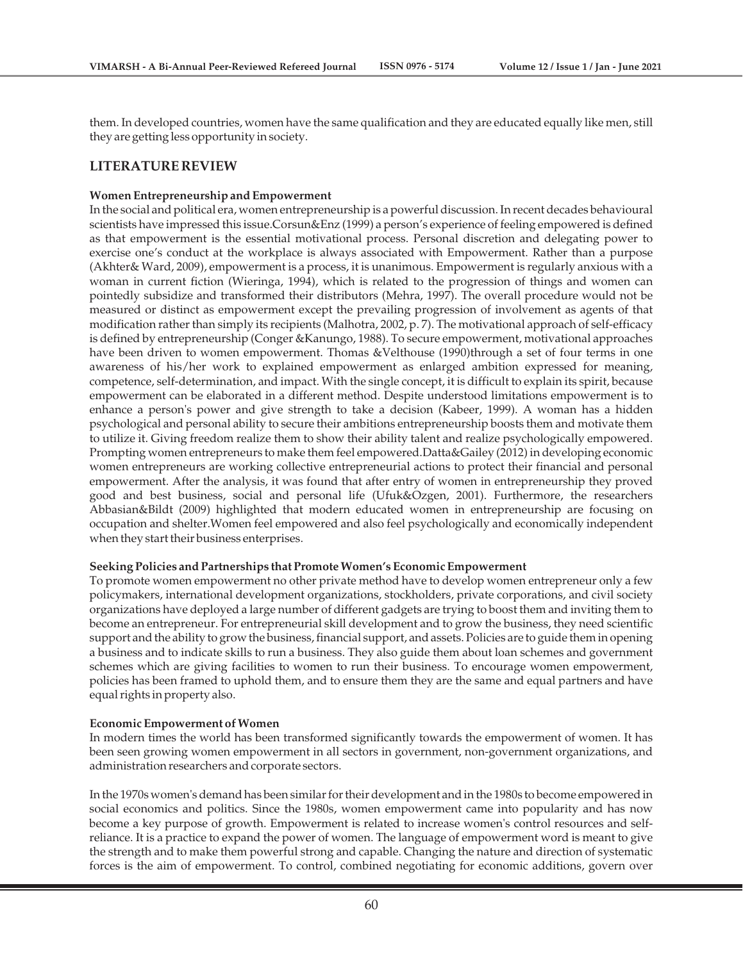them. In developed countries, women have the same qualification and they are educated equally like men, still they are getting less opportunity in society.

### **LITERATURE REVIEW**

#### **Women Entrepreneurship and Empowerment**

In the social and political era, women entrepreneurship is a powerful discussion. In recent decades behavioural scientists have impressed this issue.Corsun&Enz (1999) a person's experience of feeling empowered is defined as that empowerment is the essential motivational process. Personal discretion and delegating power to exercise one's conduct at the workplace is always associated with Empowerment. Rather than a purpose (Akhter& Ward, 2009), empowerment is a process, it is unanimous. Empowerment is regularly anxious with a woman in current fiction (Wieringa, 1994), which is related to the progression of things and women can pointedly subsidize and transformed their distributors (Mehra, 1997). The overall procedure would not be measured or distinct as empowerment except the prevailing progression of involvement as agents of that modification rather than simply its recipients (Malhotra, 2002, p. 7). The motivational approach of self-efficacy is defined by entrepreneurship (Conger &Kanungo, 1988). To secure empowerment, motivational approaches have been driven to women empowerment. Thomas &Velthouse (1990)through a set of four terms in one awareness of his/her work to explained empowerment as enlarged ambition expressed for meaning, competence, self-determination, and impact. With the single concept, it is difficult to explain its spirit, because empowerment can be elaborated in a different method. Despite understood limitations empowerment is to enhance a person's power and give strength to take a decision (Kabeer, 1999). A woman has a hidden psychological and personal ability to secure their ambitions entrepreneurship boosts them and motivate them to utilize it. Giving freedom realize them to show their ability talent and realize psychologically empowered. Prompting women entrepreneurs to make them feel empowered.Datta&Gailey (2012) in developing economic women entrepreneurs are working collective entrepreneurial actions to protect their financial and personal empowerment. After the analysis, it was found that after entry of women in entrepreneurship they proved good and best business, social and personal life (Ufuk&Ozgen, 2001). Furthermore, the researchers Abbasian&Bildt (2009) highlighted that modern educated women in entrepreneurship are focusing on occupation and shelter.Women feel empowered and also feel psychologically and economically independent when they start their business enterprises.

#### **Seeking Policies and Partnerships that Promote Women's Economic Empowerment**

To promote women empowerment no other private method have to develop women entrepreneur only a few policymakers, international development organizations, stockholders, private corporations, and civil society organizations have deployed a large number of different gadgets are trying to boost them and inviting them to become an entrepreneur. For entrepreneurial skill development and to grow the business, they need scientific support and the ability to grow the business, financial support, and assets. Policies are to guide them in opening a business and to indicate skills to run a business. They also guide them about loan schemes and government schemes which are giving facilities to women to run their business. To encourage women empowerment, policies has been framed to uphold them, and to ensure them they are the same and equal partners and have equal rights in property also.

#### **Economic Empowerment of Women**

In modern times the world has been transformed significantly towards the empowerment of women. It has been seen growing women empowerment in all sectors in government, non-government organizations, and administration researchers and corporate sectors.

In the 1970s women's demand has been similar for their development and in the 1980s to become empowered in social economics and politics. Since the 1980s, women empowerment came into popularity and has now become a key purpose of growth. Empowerment is related to increase women's control resources and selfreliance. It is a practice to expand the power of women. The language of empowerment word is meant to give the strength and to make them powerful strong and capable. Changing the nature and direction of systematic forces is the aim of empowerment. To control, combined negotiating for economic additions, govern over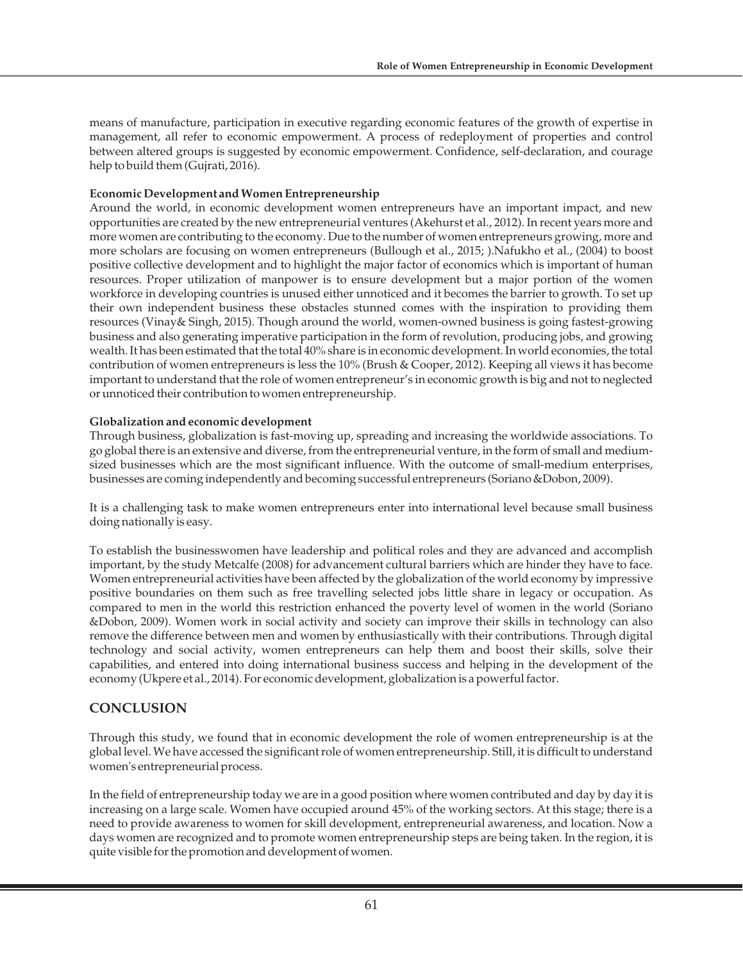means of manufacture, participation in executive regarding economic features of the growth of expertise in management, all refer to economic empowerment. A process of redeployment of properties and control between altered groups is suggested by economic empowerment. Confidence, self-declaration, and courage help to build them (Gujrati, 2016).

## **Economic Development and Women Entrepreneurship**

Around the world, in economic development women entrepreneurs have an important impact, and new opportunities are created by the new entrepreneurial ventures (Akehurst et al., 2012). In recent years more and more women are contributing to the economy. Due to the number of women entrepreneurs growing, more and more scholars are focusing on women entrepreneurs (Bullough et al., 2015; ).Nafukho et al., (2004) to boost positive collective development and to highlight the major factor of economics which is important of human resources. Proper utilization of manpower is to ensure development but a major portion of the women workforce in developing countries is unused either unnoticed and it becomes the barrier to growth. To set up their own independent business these obstacles stunned comes with the inspiration to providing them resources (Vinay& Singh, 2015). Though around the world, women-owned business is going fastest-growing business and also generating imperative participation in the form of revolution, producing jobs, and growing wealth. It has been estimated that the total 40% share is in economic development. In world economies, the total contribution of women entrepreneurs is less the 10% (Brush & Cooper, 2012). Keeping all views it has become important to understand that the role of women entrepreneur's in economic growth is big and not to neglected or unnoticed their contribution to women entrepreneurship.

## **Globalization and economic development**

Through business, globalization is fast-moving up, spreading and increasing the worldwide associations. To go global there is an extensive and diverse, from the entrepreneurial venture, in the form of small and mediumsized businesses which are the most significant influence. With the outcome of small-medium enterprises, businesses are coming independently and becoming successful entrepreneurs (Soriano &Dobon, 2009).

It is a challenging task to make women entrepreneurs enter into international level because small business doing nationally is easy.

To establish the businesswomen have leadership and political roles and they are advanced and accomplish important, by the study Metcalfe (2008) for advancement cultural barriers which are hinder they have to face. Women entrepreneurial activities have been affected by the globalization of the world economy by impressive positive boundaries on them such as free travelling selected jobs little share in legacy or occupation. As compared to men in the world this restriction enhanced the poverty level of women in the world (Soriano &Dobon, 2009). Women work in social activity and society can improve their skills in technology can also remove the difference between men and women by enthusiastically with their contributions. Through digital technology and social activity, women entrepreneurs can help them and boost their skills, solve their capabilities, and entered into doing international business success and helping in the development of the economy (Ukpere et al., 2014). For economic development, globalization is a powerful factor.

# **CONCLUSION**

Through this study, we found that in economic development the role of women entrepreneurship is at the global level. We have accessed the significant role of women entrepreneurship. Still, it is difficult to understand women's entrepreneurial process.

In the field of entrepreneurship today we are in a good position where women contributed and day by day it is increasing on a large scale. Women have occupied around 45% of the working sectors. At this stage; there is a need to provide awareness to women for skill development, entrepreneurial awareness, and location. Now a days women are recognized and to promote women entrepreneurship steps are being taken. In the region, it is quite visible for the promotion and development of women.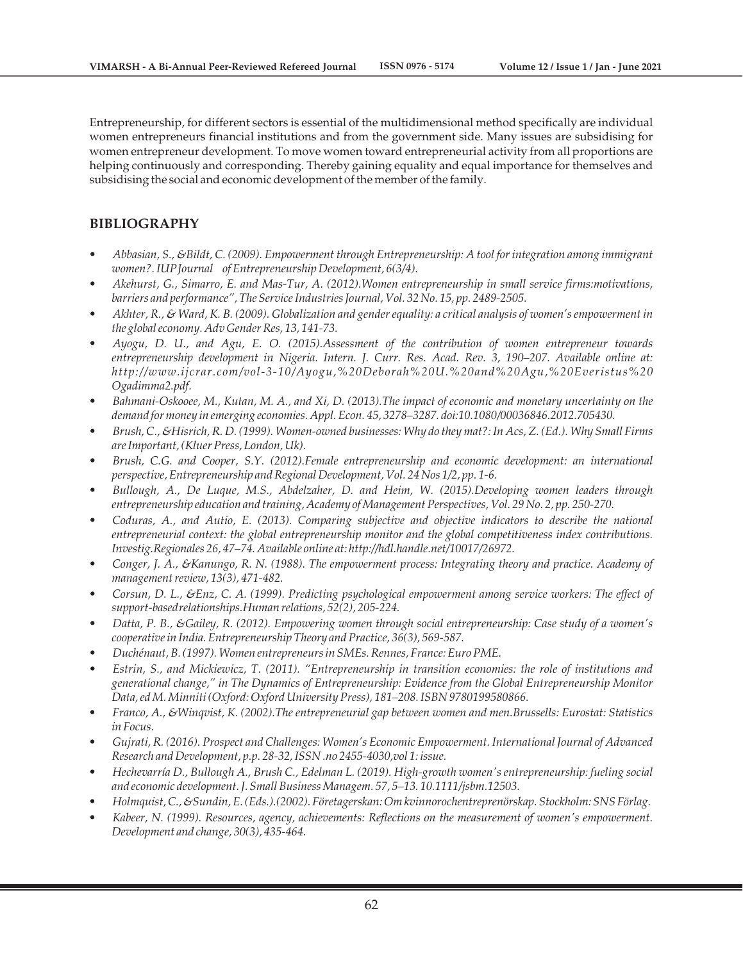Entrepreneurship, for different sectors is essential of the multidimensional method specifically are individual women entrepreneurs financial institutions and from the government side. Many issues are subsidising for women entrepreneur development. To move women toward entrepreneurial activity from all proportions are helping continuously and corresponding. Thereby gaining equality and equal importance for themselves and subsidising the social and economic development of the member of the family.

# **BIBLIOGRAPHY**

- *Abbasian, S., &Bildt, C. (2009). Empowerment through Entrepreneurship: A tool for integration among immigrant women?. IUP Journal of Entrepreneurship Development, 6(3/4).*
- *Akehurst, G., Simarro, E. and Mas-Tur, A. (2012).Women entrepreneurship in small service firms:motivations, barriers and performance", The Service Industries Journal, Vol. 32 No. 15, pp. 2489-2505.*
- *Akhter, R., & Ward, K. B. (2009). Globalization and gender equality: a critical analysis of women's empowerment in the global economy. Adv Gender Res, 13, 141-73.*
- *Ayogu, D. U., and Agu, E. O. (2015).Assessment of the contribution of women entrepreneur towards entrepreneurship development in Nigeria. Intern. J. Curr. Res. Acad. Rev. 3, 190–207. Available online at: http://www.ijcrar.com/vol-3-10/Ayogu,%20Deborah%20U.%20and%20Agu,%20Everistus%20 Ogadimma2.pdf.*
- *Bahmani-Oskooee, M., Kutan, M. A., and Xi, D. (2013).The impact of economic and monetary uncertainty on the demand for money in emerging economies. Appl. Econ. 45, 3278–3287. doi:10.1080/00036846.2012.705430.*
- *Brush, C., &Hisrich, R. D. (1999). Women-owned businesses: Why do they mat?: In Acs, Z. (Ed.). Why Small Firms are Important, (Kluer Press, London, Uk).*
- *Brush, C.G. and Cooper, S.Y. (2012).Female entrepreneurship and economic development: an international perspective, Entrepreneurship and Regional Development, Vol. 24 Nos 1/2, pp. 1-6.*
- *Bullough, A., De Luque, M.S., Abdelzaher, D. and Heim, W. (2015).Developing women leaders through entrepreneurship education and training, Academy of Management Perspectives, Vol. 29 No. 2, pp. 250-270.*
- *Coduras, A., and Autio, E. (2013). Comparing subjective and objective indicators to describe the national entrepreneurial context: the global entrepreneurship monitor and the global competitiveness index contributions. Investig.Regionales 26, 47–74. Available online at: http://hdl.handle.net/10017/26972.*
- *Conger, J. A., &Kanungo, R. N. (1988). The empowerment process: Integrating theory and practice. Academy of management review, 13(3), 471-482.*
- *Corsun, D. L., &Enz, C. A. (1999). Predicting psychological empowerment among service workers: The effect of support-based relationships.Human relations, 52(2), 205-224.*
- *Datta, P. B., &Gailey, R. (2012). Empowering women through social entrepreneurship: Case study of a women's cooperative in India. Entrepreneurship Theory and Practice, 36(3), 569-587.*
- *Duchénaut, B. (1997). Women entrepreneurs in SMEs. Rennes, France: Euro PME.*
- *Estrin, S., and Mickiewicz, T. (2011). "Entrepreneurship in transition economies: the role of institutions and generational change," in The Dynamics of Entrepreneurship: Evidence from the Global Entrepreneurship Monitor Data, ed M. Minniti (Oxford: Oxford University Press), 181–208. ISBN 9780199580866.*
- *Franco, A., &Winqvist, K. (2002).The entrepreneurial gap between women and men.Brussells: Eurostat: Statistics in Focus.*
- *Gujrati, R. (2016). Prospect and Challenges: Women's Economic Empowerment. International Journal of Advanced Research and Development, p.p. 28-32, ISSN .no 2455-4030,vol 1: issue.*
- *Hechevarría D., Bullough A., Brush C., Edelman L. (2019). High-growth women's entrepreneurship: fueling social and economic development. J. Small Business Managem. 57, 5–13. 10.1111/jsbm.12503.*
- *Holmquist, C., &Sundin, E. (Eds.).(2002). Företagerskan: Om kvinnorochentreprenörskap. Stockholm: SNS Förlag.*
- *Kabeer, N. (1999). Resources, agency, achievements: Reflections on the measurement of women's empowerment. Development and change, 30(3), 435-464.*